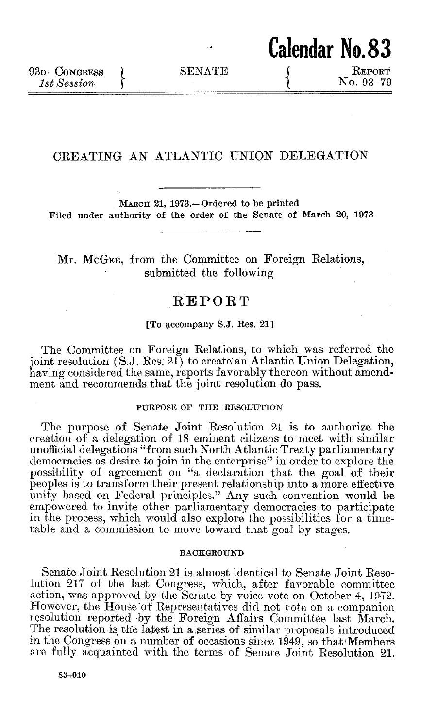**Calendar No.83**

# CREATING **AN** ATLANTIC **UNION** DELEGATION

**MARCn 21, 1973.-Ordered to be printed Filed under authority of the order of the Senate of March 20, 1973**

# Mr. McGEE, from the Committee on Foreign Relations, submitted the following

# REPORT

## **{To accompany S.J. Res. 21]**

The Committee on Foreign Relations, to which was referred the joint resolution **(S.J.** Res. 21) to create an Atlantic Union Delegation, having considered the same, reports favorably thereon without amendment and recommends that the joint resolution do pass.

## **PURPOSE OF THE RESOLUTION**

The purpose of Senate Joint Resolution 21 is to authorize the creation of a delegation of **18** eminent citizens to meet with similar unofficial delegations "from such North Atlantic Treaty parliamentary democracies as desire to join in the enterprise" in order to explore the possibility of agreement on "a declaration that the goal of their peoples is to transform their present relationship into a more effective unity based on Federal principles." Any such convention would be empowered to invite other parliamentary democracies to participate in the process, which would also explore the possibilities for a timetable and a commission to move toward that goal **by** stages.

### **BACKGROUND**

Senate Joint Resolution 21 is **almost** identical to Senate Joint Resolition **217** of the last Congress, which, after favorable committee action, was approved **by** the Senate **by** voice vote on October 4, **1972.** However, the House 'of Representatives did not vote on a companion resolution reported **-by** the Foreign Affairs Committee last March. The resolution is the latest in a series of similar proposals introduced in the Congress on a number of occasions since 1949, so that Members are **fully** acquainted with the terms of Senate Joint Resolution 21.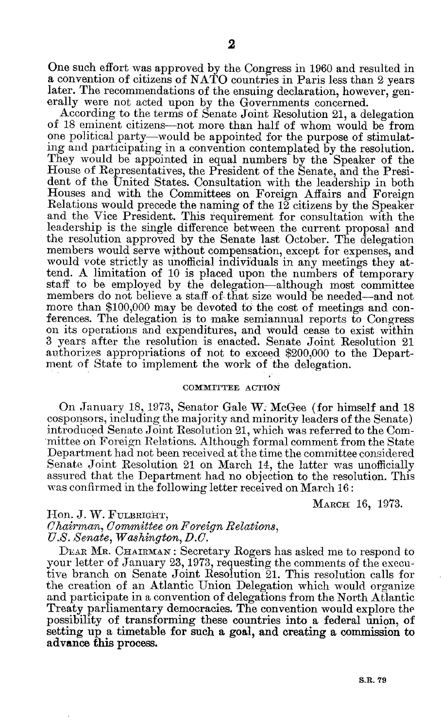According to the terms of Senate Joint Resolution 21, a delegation of **18** eminent citizens-not more than half of whom would be from one political party—would be appointed for the purpose of stimulating and participating in a convention contemplated **by** the resolution. They would be appointed in equal numbers **by** the Speaker of the House of Representatives, the President of the Senate, and the President of the United States. Consultation with the leadership in both Houses and with the Committees on Foreign Affairs and Foreign Relations would precede the naming of the 12 citizens **by** the Speaker and the Vice President. This requirement for consultation with the leadership is the single difference between the current proposal and the resolution approved **by** the Senate last October. The delegation members would serve without compensation, except **for** expenses, and would vote strictly as unofficial individuals in any meetings they attend. **A** limitation of **10** is placed upon the numbers of temporary staff to be employed **by** the delegation-although most committee members do not believe a staff of that size would be needed-and not more than **\$100,000** may be devoted to the cost of meetings and conferences. The delegation is to make semiannual reports to Congress on its operations and expenditures, and would cease to exist within **3** years after the resolution is enacted. Senate Joint Resolution 21 authorizes appropriations of not to exceed \$200,000 to the Departnent of State to implement the work of the delegation.

#### **COMMITTEE ACTION**

On January **18, 1973,** Senator Gale W. McGee (for himself and **18** cosponsors, including the majority and minority leaders of the Senate) introduced Senate Joint Resolution 21, which was referred to the Committee on Foreign Relations. Although formal comment from the State Department had not been received at the time the committee considered Senate Joint Resolution 21 on March 14, the latter was unofficially assured that the Department had no objection to the resolution. This was confirmed in the following letter received on March **16:**

**MARCH 16, 1973.**

I-Ion. **J.** W. **FULBRIGHT,** *Chairman, Committee on Foreign Relations, U.S. Senate, Washington, D.C.*

DEAR AIR. **CHAIRMAN:** Secretary Rogers has asked me to respond to your letter of January **23, 1973,** requesting the comments of the executive branch on Senate Joint Resolution 21. This resolution calls for the creation of an Atlantic Union Delegation which would organize and participate in a convention of delegations from the North Atlantic Treaty parliamentary democracies. The convention would explore the possibility of transforming these countries into a federal union, of setting up a timetable for such a goal, and creating a commission to advance this process.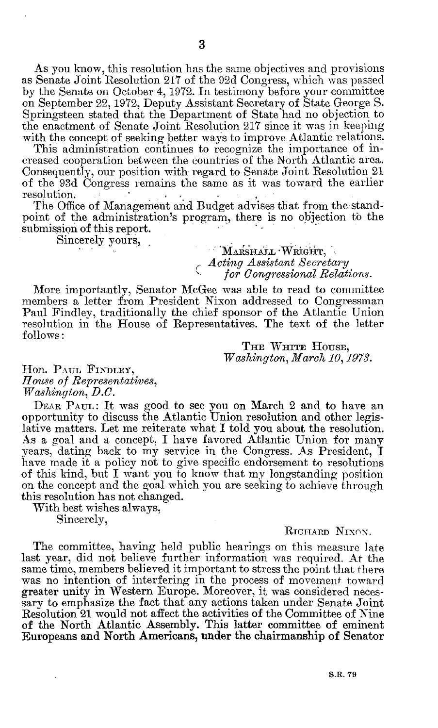As you know, this resolution has the same objectives and provisions as Senate Joint Resolution **217** of the **92d** Congress, which was passed **by** the Senate on October 4, **1972.** In testimony before your committee on September 22, **1972,** Deputy Assistant Secretary of State George **S.** Springsteen stated that the Department of State **had** no objection to the enactment of Senate Joint Resolution **217** since it was in keeping with the concept of seeking better ways to improve Atlantic relations.

This administration continues to recognize the importance of increased cooperation between the countries of the North Atlantic area. Consequently, our position with regard to Senate Joint Resolution 21 of the **93d** Congress remains the same as it was toward the earlier resolution.

The Office of Management and Budget advises that from the standpoint of the administration's program, there is no objection to the submission of this report.

Sincerely yours,

## *MARSHALL WRIGHT, Acting Assistant Secretary for Congressional Relations.*

More importantly, Senator McGee was able to read to committee members a letter from President Nixon addressed to Congressman Paul Findley, traditionally the chief sponsor of the Atlantic Union resolution in the House of Representatives. The text of the letter **follows:**

> **THE WHITE** HousE, *Washington, March 10, 1973.*

Hon. PAUL FINDLEY, *House of Representatives, Washington, D.C.*

**DEAR PAUL:** It was good to see you on March 2 and to have an opportunity to discuss the Atlantic Union resolution and other legislative matters. Let me reiterate what **I** told you about the resolution. As a goal and a concept, **I** have favored Atlantic Union for many years, dating back to my service in the Congress. As President, I have made it a policy not to give specific endorsement to resolutions of this kind, but I want you to know that my longstanding position on the concept and the goal which you are seeking to achieve through this resolution has not changed.

With best wishes always,

Sincerely,

#### RICHARD NIXON.

The committee, having held public hearings on this measure late last year, did not believe further information was required. **At** the same time, members believed it important to stress the point that there was no intention of interfering in the process of movement toward greater unity in Western Europe. Moreover, it was considered necessary to emphasize the fact that any actions taken under Senate Joint Resolution 21 would not affect the activities of the Committee of Nine of the North Atlantic Assembly. This latter committee of eminent Europeans and North Americans, under the chairmanship of Senator